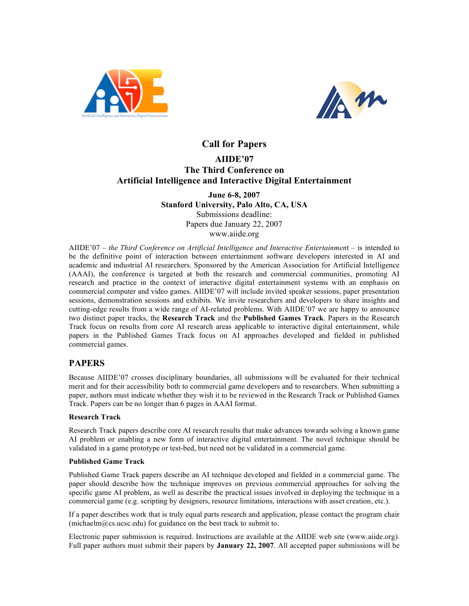



# **Call for Papers AIIDE'07 The Third Conference on Artificial Intelligence and Interactive Digital Entertainment**

#### **June 6-8, 2007 Stanford University, Palo Alto, CA, USA** Submissions deadline: Papers due January 22, 2007 www.aiide.org

AIIDE'07 – *the Third Conference on Artificial Intelligence and Interactive Entertainmen*t – is intended to be the definitive point of interaction between entertainment software developers interested in AI and academic and industrial AI researchers. Sponsored by the American Association for Artificial Intelligence (AAAI), the conference is targeted at both the research and commercial communities, promoting AI research and practice in the context of interactive digital entertainment systems with an emphasis on commercial computer and video games. AIIDE'07 will include invited speaker sessions, paper presentation sessions, demonstration sessions and exhibits. We invite researchers and developers to share insights and cutting-edge results from a wide range of AI-related problems. With AIIDE'07 we are happy to announce two distinct paper tracks, the **Research Track** and the **Published Games Track**. Papers in the Research Track focus on results from core AI research areas applicable to interactive digital entertainment, while papers in the Published Games Track focus on AI approaches developed and fielded in published commercial games.

## **PAPERS**

Because AIIDE'07 crosses disciplinary boundaries, all submissions will be evaluated for their technical merit and for their accessibility both to commercial game developers and to researchers. When submitting a paper, authors must indicate whether they wish it to be reviewed in the Research Track or Published Games Track. Papers can be no longer than 6 pages in AAAI format.

#### **Research Track**

Research Track papers describe core AI research results that make advances towards solving a known game AI problem or enabling a new form of interactive digital entertainment. The novel technique should be validated in a game prototype or test-bed, but need not be validated in a commercial game.

#### **Published Game Track**

Published Game Track papers describe an AI technique developed and fielded in a commercial game. The paper should describe how the technique improves on previous commercial approaches for solving the specific game AI problem, as well as describe the practical issues involved in deploying the technique in a commercial game (e.g. scripting by designers, resource limitations, interactions with asset creation, etc.).

If a paper describes work that is truly equal parts research and application, please contact the program chair  $(michaelm@cs.wesc.edu)$  for guidance on the best track to submit to.

Electronic paper submission is required. Instructions are available at the AIIDE web site (www.aiide.org). Full paper authors must submit their papers by **January 22, 2007**. All accepted paper submissions will be